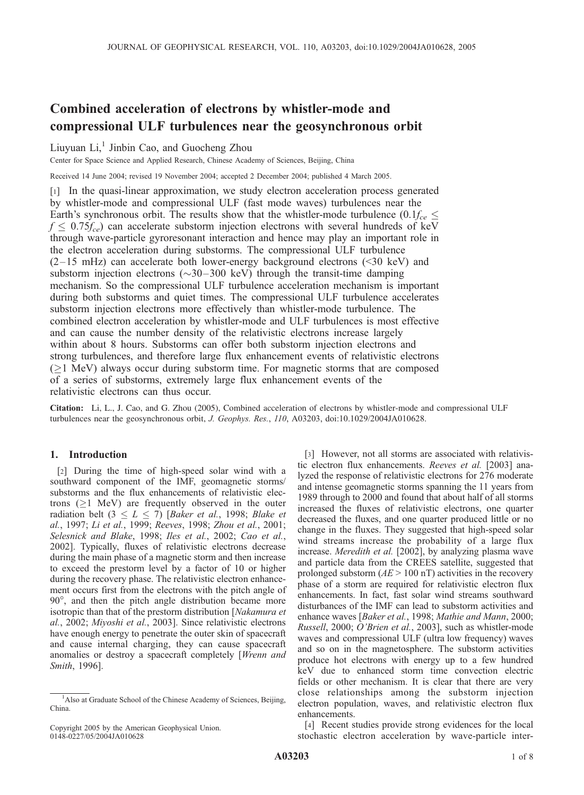# Combined acceleration of electrons by whistler-mode and compressional ULF turbulences near the geosynchronous orbit

Liuyuan Li, $<sup>1</sup>$  Jinbin Cao, and Guocheng Zhou</sup>

Center for Space Science and Applied Research, Chinese Academy of Sciences, Beijing, China

Received 14 June 2004; revised 19 November 2004; accepted 2 December 2004; published 4 March 2005.

[1] In the quasi-linear approximation, we study electron acceleration process generated by whistler-mode and compressional ULF (fast mode waves) turbulences near the Earth's synchronous orbit. The results show that the whistler-mode turbulence  $(0.1f_{ce} \leq$  $f \leq 0.75f_{ce}$  can accelerate substorm injection electrons with several hundreds of keV through wave-particle gyroresonant interaction and hence may play an important role in the electron acceleration during substorms. The compressional ULF turbulence  $(2-15 \text{ mHz})$  can accelerate both lower-energy background electrons (<30 keV) and substorm injection electrons ( $\sim$ 30–300 keV) through the transit-time damping mechanism. So the compressional ULF turbulence acceleration mechanism is important during both substorms and quiet times. The compressional ULF turbulence accelerates substorm injection electrons more effectively than whistler-mode turbulence. The combined electron acceleration by whistler-mode and ULF turbulences is most effective and can cause the number density of the relativistic electrons increase largely within about 8 hours. Substorms can offer both substorm injection electrons and strong turbulences, and therefore large flux enhancement events of relativistic electrons  $(1 MeV)$  always occur during substorm time. For magnetic storms that are composed of a series of substorms, extremely large flux enhancement events of the relativistic electrons can thus occur.

Citation: Li, L., J. Cao, and G. Zhou (2005), Combined acceleration of electrons by whistler-mode and compressional ULF turbulences near the geosynchronous orbit, J. Geophys. Res., 110, A03203, doi:10.1029/2004JA010628.

## 1. Introduction

[2] During the time of high-speed solar wind with a southward component of the IMF, geomagnetic storms/ substorms and the flux enhancements of relativistic electrons ( $\geq$ 1 MeV) are frequently observed in the outer radiation belt  $(3 \le L \le 7)$  [Baker et al., 1998; Blake et al., 1997; Li et al., 1999; Reeves, 1998; Zhou et al., 2001; Selesnick and Blake, 1998; Iles et al., 2002; Cao et al., 2002]. Typically, fluxes of relativistic electrons decrease during the main phase of a magnetic storm and then increase to exceed the prestorm level by a factor of 10 or higher during the recovery phase. The relativistic electron enhancement occurs first from the electrons with the pitch angle of 90°, and then the pitch angle distribution became more isotropic than that of the prestorm distribution [Nakamura et al., 2002; Miyoshi et al., 2003]. Since relativistic electrons have enough energy to penetrate the outer skin of spacecraft and cause internal charging, they can cause spacecraft anomalies or destroy a spacecraft completely [Wrenn and Smith, 1996].

[3] However, not all storms are associated with relativistic electron flux enhancements. Reeves et al. [2003] analyzed the response of relativistic electrons for 276 moderate and intense geomagnetic storms spanning the 11 years from 1989 through to 2000 and found that about half of all storms increased the fluxes of relativistic electrons, one quarter decreased the fluxes, and one quarter produced little or no change in the fluxes. They suggested that high-speed solar wind streams increase the probability of a large flux increase. Meredith et al. [2002], by analyzing plasma wave and particle data from the CREES satellite, suggested that prolonged substorm  $(AE > 100 \text{ nT})$  activities in the recovery phase of a storm are required for relativistic electron flux enhancements. In fact, fast solar wind streams southward disturbances of the IMF can lead to substorm activities and enhance waves [Baker et al., 1998; Mathie and Mann, 2000; Russell, 2000; O'Brien et al., 2003], such as whistler-mode waves and compressional ULF (ultra low frequency) waves and so on in the magnetosphere. The substorm activities produce hot electrons with energy up to a few hundred keV due to enhanced storm time convection electric fields or other mechanism. It is clear that there are very close relationships among the substorm injection electron population, waves, and relativistic electron flux enhancements.

[4] Recent studies provide strong evidences for the local stochastic electron acceleration by wave-particle inter-

<sup>&</sup>lt;sup>1</sup>Also at Graduate School of the Chinese Academy of Sciences, Beijing, China.

Copyright 2005 by the American Geophysical Union. 0148-0227/05/2004JA010628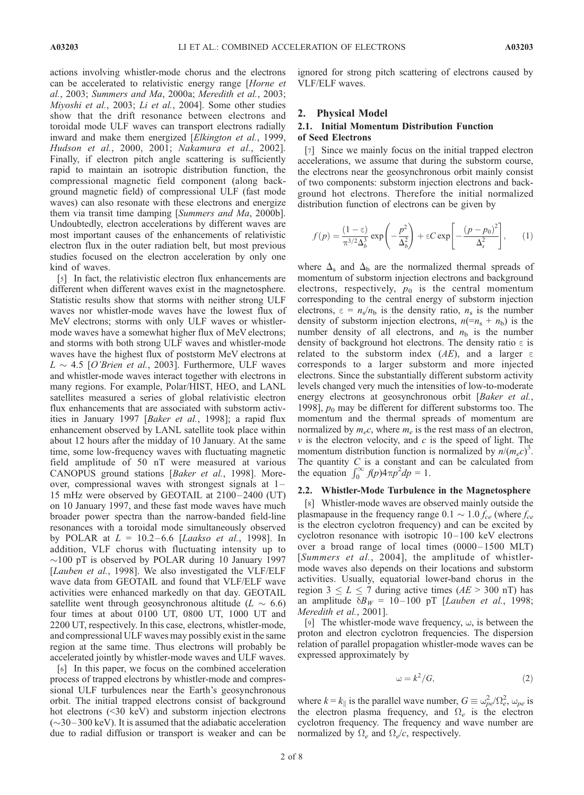actions involving whistler-mode chorus and the electrons can be accelerated to relativistic energy range [Horne et al., 2003; Summers and Ma, 2000a; Meredith et al., 2003; Miyoshi et al., 2003; Li et al., 2004]. Some other studies show that the drift resonance between electrons and toroidal mode ULF waves can transport electrons radially inward and make them energized [Elkington et al., 1999, Hudson et al., 2000, 2001; Nakamura et al., 2002]. Finally, if electron pitch angle scattering is sufficiently rapid to maintain an isotropic distribution function, the compressional magnetic field component (along background magnetic field) of compressional ULF (fast mode waves) can also resonate with these electrons and energize them via transit time damping [Summers and Ma, 2000b]. Undoubtedly, electron accelerations by different waves are most important causes of the enhancements of relativistic electron flux in the outer radiation belt, but most previous studies focused on the electron acceleration by only one kind of waves.

[5] In fact, the relativistic electron flux enhancements are different when different waves exist in the magnetosphere. Statistic results show that storms with neither strong ULF waves nor whistler-mode waves have the lowest flux of MeV electrons; storms with only ULF waves or whistlermode waves have a somewhat higher flux of MeV electrons; and storms with both strong ULF waves and whistler-mode waves have the highest flux of poststorm MeV electrons at  $L \sim 4.5$  [O'Brien et al., 2003]. Furthermore, ULF waves and whistler-mode waves interact together with electrons in many regions. For example, Polar/HIST, HEO, and LANL satellites measured a series of global relativistic electron flux enhancements that are associated with substorm activities in January 1997 [Baker et al., 1998]; a rapid flux enhancement observed by LANL satellite took place within about 12 hours after the midday of 10 January. At the same time, some low-frequency waves with fluctuating magnetic field amplitude of 50 nT were measured at various CANOPUS ground stations [Baker et al., 1998]. Moreover, compressional waves with strongest signals at  $1-$ 15 mHz were observed by GEOTAIL at  $2100 - 2400$  (UT) on 10 January 1997, and these fast mode waves have much broader power spectra than the narrow-banded field-line resonances with a toroidal mode simultaneously observed by POLAR at  $L = 10.2 - 6.6$  [Laakso et al., 1998]. In addition, VLF chorus with fluctuating intensity up to  $\sim$ 100 pT is observed by POLAR during 10 January 1997 [Lauben et al., 1998]. We also investigated the VLF/ELF wave data from GEOTAIL and found that VLF/ELF wave activities were enhanced markedly on that day. GEOTAIL satellite went through geosynchronous altitude ( $L \sim 6.6$ ) four times at about 0100 UT, 0800 UT, 1000 UT and 2200 UT, respectively. In this case, electrons, whistler-mode, and compressional ULF waves may possibly exist in the same region at the same time. Thus electrons will probably be accelerated jointly by whistler-mode waves and ULF waves.

[6] In this paper, we focus on the combined acceleration process of trapped electrons by whistler-mode and compressional ULF turbulences near the Earth's geosynchronous orbit. The initial trapped electrons consist of background hot electrons (<30 keV) and substorm injection electrons  $(\sim]30-300 \text{ keV}$ ). It is assumed that the adiabatic acceleration due to radial diffusion or transport is weaker and can be ignored for strong pitch scattering of electrons caused by VLF/ELF waves.

#### 2. Physical Model

## 2.1. Initial Momentum Distribution Function of Seed Electrons

[7] Since we mainly focus on the initial trapped electron accelerations, we assume that during the substorm course, the electrons near the geosynchronous orbit mainly consist of two components: substorm injection electrons and background hot electrons. Therefore the initial normalized distribution function of electrons can be given by

$$
f(p) = \frac{(1 - \epsilon)}{\pi^{3/2} \Delta_b^3} \exp\left(-\frac{p^2}{\Delta_b^2}\right) + \epsilon C \exp\left[-\frac{(p - p_0)^2}{\Delta_s^2}\right],
$$
 (1)

where  $\Delta_s$  and  $\Delta_b$  are the normalized thermal spreads of momentum of substorm injection electrons and background electrons, respectively,  $p_0$  is the central momentum corresponding to the central energy of substorm injection electrons,  $\varepsilon = n_s/n_b$  is the density ratio,  $n_s$  is the number density of substorm injection electrons,  $n(=n_s + n_b)$  is the number density of all electrons, and  $n<sub>b</sub>$  is the number density of background hot electrons. The density ratio  $\varepsilon$  is related to the substorm index (AE), and a larger  $\epsilon$ corresponds to a larger substorm and more injected electrons. Since the substantially different substorm activity levels changed very much the intensities of low-to-moderate energy electrons at geosynchronous orbit [Baker et al., 1998],  $p_0$  may be different for different substorms too. The momentum and the thermal spreads of momentum are normalized by  $m_e c$ , where  $m_e$  is the rest mass of an electron,  $\nu$  is the electron velocity, and  $c$  is the speed of light. The momentum distribution function is normalized by  $n/(m_e c)^3$ . The quantity  $C$  is a constant and can be calculated from the equation  $\int_0^\infty f(p) 4\pi p^2 dp = 1$ .

#### 2.2. Whistler-Mode Turbulence in the Magnetosphere

[8] Whistler-mode waves are observed mainly outside the plasmapause in the frequency range  $0.1 \sim 1.0 f_{ce}$  (where  $f_{ce}$ is the electron cyclotron frequency) and can be excited by cyclotron resonance with isotropic 10– 100 keV electrons over a broad range of local times  $(0000-1500 \text{ MLT})$ [Summers et al., 2004], the amplitude of whistlermode waves also depends on their locations and substorm activities. Usually, equatorial lower-band chorus in the region  $3 \le L \le 7$  during active times (AE > 300 nT) has an amplitude  $\delta B_W = 10 - 100$  pT [Lauben et al., 1998; Meredith et al., 2001].

[9] The whistler-mode wave frequency,  $\omega$ , is between the proton and electron cyclotron frequencies. The dispersion relation of parallel propagation whistler-mode waves can be expressed approximately by

$$
\omega = k^2 / G,\tag{2}
$$

where  $k = k_{\parallel}$  is the parallel wave number,  $G \equiv \omega_{pe}^2 / \Omega_e^2$ ,  $\omega_{pe}$  is the electron plasma frequency, and  $\Omega_e$  is the electron cyclotron frequency. The frequency and wave number are normalized by  $\Omega_e$  and  $\Omega_e/c$ , respectively.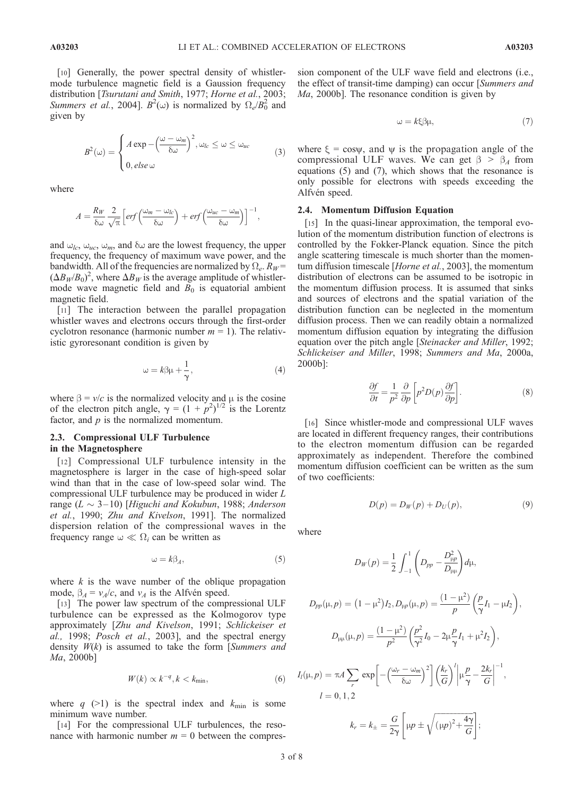[10] Generally, the power spectral density of whistlermode turbulence magnetic field is a Gaussion frequency distribution [Tsurutani and Smith, 1977; Horne et al., 2003; Summers et al., 2004].  $B^2(\omega)$  is normalized by  $\Omega_e/B_0^2$  and given by

$$
B^{2}(\omega) = \begin{cases} A \exp\left(-\frac{(\omega - \omega_{m})}{\delta\omega}\right)^{2}, \omega_{lc} \leq \omega \leq \omega_{uc} \\ 0, \text{else } \omega \end{cases}
$$
(3)

where

$$
A = \frac{R_W}{\delta \omega} \frac{2}{\sqrt{\pi}} \left[ erf \left( \frac{\omega_m - \omega_{lc}}{\delta \omega} \right) + erf \left( \frac{\omega_{uc} - \omega_m}{\delta \omega} \right) \right]^{-1},
$$

and  $\omega_{lc}$ ,  $\omega_{uc}$ ,  $\omega_m$ , and  $\delta\omega$  are the lowest frequency, the upper frequency, the frequency of maximum wave power, and the bandwidth. All of the frequencies are normalized by  $\Omega_e$ .  $R_W$  =  $(\Delta B_W/B_0)^2$ , where  $\Delta B_W$  is the average amplitude of whistlermode wave magnetic field and  $B_0$  is equatorial ambient magnetic field.

[11] The interaction between the parallel propagation whistler waves and electrons occurs through the first-order cyclotron resonance (harmonic number  $m = 1$ ). The relativistic gyroresonant condition is given by

$$
\omega = k\beta\mu + \frac{1}{\gamma},\tag{4}
$$

where  $\beta = v/c$  is the normalized velocity and  $\mu$  is the cosine of the electron pitch angle,  $\gamma = (1 + p^2)^{1/2}$  is the Lorentz factor, and  $p$  is the normalized momentum.

### 2.3. Compressional ULF Turbulence in the Magnetosphere

[12] Compressional ULF turbulence intensity in the magnetosphere is larger in the case of high-speed solar wind than that in the case of low-speed solar wind. The compressional ULF turbulence may be produced in wider L range  $(L \sim 3-10)$  [Higuchi and Kokubun, 1988; Anderson et al., 1990; Zhu and Kivelson, 1991]. The normalized dispersion relation of the compressional waves in the frequency range  $\omega \ll \Omega_i$  can be written as

$$
\omega = k\beta_A,\tag{5}
$$

where  $k$  is the wave number of the oblique propagation mode,  $\beta_A = v_A/c$ , and  $v_A$  is the Alfvén speed.

[13] The power law spectrum of the compressional ULF turbulence can be expressed as the Kolmogorov type approximately [Zhu and Kivelson, 1991; Schlickeiser et al., 1998; Posch et al., 2003], and the spectral energy density  $W(k)$  is assumed to take the form [Summers and Ma, 2000b]

$$
W(k) \propto k^{-q}, k < k_{\min}, \tag{6}
$$

where q (>1) is the spectral index and  $k_{\text{min}}$  is some minimum wave number.

[14] For the compressional ULF turbulences, the resonance with harmonic number  $m = 0$  between the compres-

sion component of the ULF wave field and electrons (i.e., the effect of transit-time damping) can occur [Summers and Ma, 2000b]. The resonance condition is given by

$$
\omega = k\xi \beta \mu,\tag{7}
$$

where  $\xi = \cos \psi$ , and  $\psi$  is the propagation angle of the compressional ULF waves. We can get  $\beta > \beta_A$  from equations (5) and (7), which shows that the resonance is only possible for electrons with speeds exceeding the Alfvén speed.

#### 2.4. Momentum Diffusion Equation

[15] In the quasi-linear approximation, the temporal evolution of the momentum distribution function of electrons is controlled by the Fokker-Planck equation. Since the pitch angle scattering timescale is much shorter than the momentum diffusion timescale [Horne et al., 2003], the momentum distribution of electrons can be assumed to be isotropic in the momentum diffusion process. It is assumed that sinks and sources of electrons and the spatial variation of the distribution function can be neglected in the momentum diffusion process. Then we can readily obtain a normalized momentum diffusion equation by integrating the diffusion equation over the pitch angle [Steinacker and Miller, 1992; Schlickeiser and Miller, 1998; Summers and Ma, 2000a, 2000b]:

$$
\frac{\partial f}{\partial t} = \frac{1}{p^2} \frac{\partial}{\partial p} \left[ p^2 D(p) \frac{\partial f}{\partial p} \right].
$$
 (8)

[16] Since whistler-mode and compressional ULF waves are located in different frequency ranges, their contributions to the electron momentum diffusion can be regarded approximately as independent. Therefore the combined momentum diffusion coefficient can be written as the sum of two coefficients:

$$
D(p) = D_W(p) + D_U(p),\tag{9}
$$

G

;

where

$$
D_{W}(p) = \frac{1}{2} \int_{-1}^{1} \left( D_{pp} - \frac{D_{\mu p}^{2}}{D_{\mu \mu}} \right) d\mu,
$$
  
\n
$$
D_{pp}(\mu, p) = (1 - \mu^{2}) I_{2}, D_{\mu p}(\mu, p) = \frac{(1 - \mu^{2})}{p} \left( \frac{p}{\gamma} I_{1} - \mu I_{2} \right),
$$
  
\n
$$
D_{\mu\mu}(\mu, p) = \frac{(1 - \mu^{2})}{p^{2}} \left( \frac{p^{2}}{\gamma^{2}} I_{0} - 2\mu \frac{p}{\gamma} I_{1} + \mu^{2} I_{2} \right),
$$
  
\n
$$
\mu, p) = \pi A \sum_{r} \exp \left[ -\left( \frac{\omega_{r} - \omega_{m}}{\delta \omega} \right)^{2} \right] \left( \frac{k_{r}}{G} \right)^{l} \left| \mu \frac{p}{\gamma} - \frac{2k_{r}}{G} \right|^{-1},
$$
  
\n
$$
l = 0, 1, 2
$$
  
\n
$$
k_{r} = k_{\pm} = \frac{G}{2\gamma} \left[ \mu p \pm \sqrt{(\mu p)^{2} + \frac{4\gamma}{G}} \right];
$$

 $I_l(\mu)$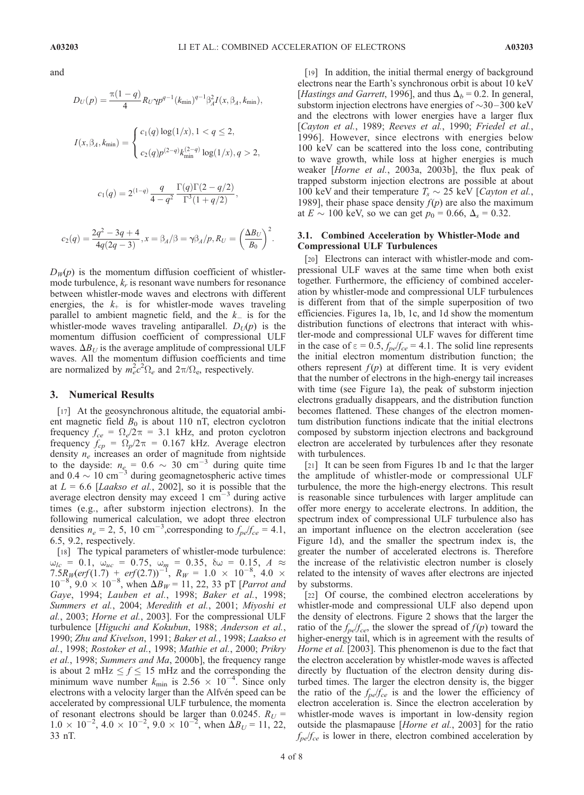and

$$
D_U(p) = \frac{\pi (1-q)}{4} R_U \gamma p^{q-1} (k_{\min})^{q-1} \beta_A^2 I(x, \beta_A, k_{\min}),
$$
  

$$
I(x, \beta_A, k_{\min}) = \begin{cases} c_1(q) \log(1/x), 1 < q \le 2, \\ c_2(q) p^{(2-q)} k_{\min}^{(2-q)} \log(1/x), q > 2, \end{cases}
$$

$$
c_1(q) = 2^{(1-q)} \frac{q}{4-q^2} \frac{\Gamma(q)\Gamma(2-q/2)}{\Gamma^3(1+q/2)},
$$

$$
c_2(q) = \frac{2q^2 - 3q + 4}{4q(2q - 3)}, x = \beta_A/\beta = \gamma \beta_A / p, R_U = \left(\frac{\Delta B_U}{B_0}\right)^2.
$$

 $D_W(p)$  is the momentum diffusion coefficient of whistlermode turbulence,  $k_r$  is resonant wave numbers for resonance between whistler-mode waves and electrons with different energies, the  $k_{+}$  is for whistler-mode waves traveling parallel to ambient magnetic field, and the  $k_{-}$  is for the whistler-mode waves traveling antiparallel.  $D_U(p)$  is the momentum diffusion coefficient of compressional ULF waves.  $\Delta B_U$  is the average amplitude of compressional ULF waves. All the momentum diffusion coefficients and time are normalized by  $m_e^2 c^2 \Omega_e$  and  $2\pi/\Omega_e$ , respectively.

#### 3. Numerical Results

[17] At the geosynchronous altitude, the equatorial ambient magnetic field  $B_0$  is about 110 nT, electron cyclotron frequency  $f_{ce} = \Omega_e/2\pi = 3.1$  kHz, and proton cyclotron frequency  $f_{cp} = \Omega_p / 2\pi = 0.167$  kHz. Average electron density  $n_e$  increases an order of magnitude from nightside to the dayside:  $n_e = 0.6 \sim 30 \text{ cm}^{-3}$  during quite time and 0.4  $\sim$  10 cm<sup>-3</sup> during geomagnetospheric active times at  $L = 6.6$  [*Laakso et al.*, 2002], so it is possible that the average electron density may exceed  $1 \text{ cm}^{-3}$  during active times (e.g., after substorm injection electrons). In the following numerical calculation, we adopt three electron densities  $n_e = 2$ , 5, 10 cm<sup>-3</sup>, corresponding to  $f_{pe}/f_{ce} = 4.1$ , 6.5, 9.2, respectively.

[18] The typical parameters of whistler-mode turbulence:  $\omega_{lc}$  = 0.1,  $\omega_{uc}$  = 0.75,  $\omega_m$  = 0.35,  $\delta \omega$  = 0.15, A  $\approx$  $7.5R_W(erf(1.7) + erf(2.7))^{-1}$ ,  $R_W = 1.0 \times 10^{-8}$ ,  $4.0 \times$  $10^{-8}$ ,  $9.0 \times 10^{-8}$ , when  $\Delta B_W = 11$ , 22, 33 pT [*Parrot and* Gaye, 1994; Lauben et al., 1998; Baker et al., 1998; Summers et al., 2004; Meredith et al., 2001; Miyoshi et al., 2003; Horne et al., 2003]. For the compressional ULF turbulence [Higuchi and Kokubun, 1988; Anderson et al., 1990; Zhu and Kivelson, 1991; Baker et al., 1998; Laakso et al., 1998; Rostoker et al., 1998; Mathie et al., 2000; Prikry et al., 1998; Summers and Ma, 2000b], the frequency range is about 2 mHz  $\leq f \leq 15$  mHz and the corresponding the minimum wave number  $k_{\text{min}}$  is 2.56  $\times$  10<sup>-4</sup>. Since only electrons with a velocity larger than the Alfvén speed can be accelerated by compressional ULF turbulence, the momenta of resonant electrons should be larger than 0.0245.  $R_U =$  $1.0 \times 10^{-2}$ ,  $4.0 \times 10^{-2}$ ,  $9.0 \times 10^{-2}$ , when  $\Delta B_U = 11$ , 22, 33 nT.

[19] In addition, the initial thermal energy of background electrons near the Earth's synchronous orbit is about 10 keV [Hastings and Garrett, 1996], and thus  $\Delta_b = 0.2$ . In general, substorm injection electrons have energies of  $\sim$ 30–300 keV and the electrons with lower energies have a larger flux [Cayton et al., 1989; Reeves et al., 1990; Friedel et al., 1996]. However, since electrons with energies below 100 keV can be scattered into the loss cone, contributing to wave growth, while loss at higher energies is much weaker [Horne et al., 2003a, 2003b], the flux peak of trapped substorm injection electrons are possible at about 100 keV and their temperature  $T_s \sim 25$  keV [*Cayton et al.*, 1989], their phase space density  $f(p)$  are also the maximum at  $E \sim 100$  keV, so we can get  $p_0 = 0.66$ ,  $\Delta_s = 0.32$ .

## 3.1. Combined Acceleration by Whistler-Mode and Compressional ULF Turbulences

[20] Electrons can interact with whistler-mode and compressional ULF waves at the same time when both exist together. Furthermore, the efficiency of combined acceleration by whistler-mode and compressional ULF turbulences is different from that of the simple superposition of two efficiencies. Figures 1a, 1b, 1c, and 1d show the momentum distribution functions of electrons that interact with whistler-mode and compressional ULF waves for different time in the case of  $\varepsilon = 0.5$ ,  $f_{pe}/f_{ce} = 4.1$ . The solid line represents the initial electron momentum distribution function; the others represent  $f(p)$  at different time. It is very evident that the number of electrons in the high-energy tail increases with time (see Figure 1a), the peak of substorm injection electrons gradually disappears, and the distribution function becomes flattened. These changes of the electron momentum distribution functions indicate that the initial electrons composed by substorm injection electrons and background electron are accelerated by turbulences after they resonate with turbulences.

[21] It can be seen from Figures 1b and 1c that the larger the amplitude of whistler-mode or compressional ULF turbulence, the more the high-energy electrons. This result is reasonable since turbulences with larger amplitude can offer more energy to accelerate electrons. In addition, the spectrum index of compressional ULF turbulence also has an important influence on the electron acceleration (see Figure 1d), and the smaller the spectrum index is, the greater the number of accelerated electrons is. Therefore the increase of the relativistic electron number is closely related to the intensity of waves after electrons are injected by substorms.

[22] Of course, the combined electron accelerations by whistler-mode and compressional ULF also depend upon the density of electrons. Figure 2 shows that the larger the ratio of the  $f_{pe}/f_{ce}$ , the slower the spread of  $f(p)$  toward the higher-energy tail, which is in agreement with the results of Horne et al. [2003]. This phenomenon is due to the fact that the electron acceleration by whistler-mode waves is affected directly by fluctuation of the electron density during disturbed times. The larger the electron density is, the bigger the ratio of the  $f_{pe}/f_{ce}$  is and the lower the efficiency of electron acceleration is. Since the electron acceleration by whistler-mode waves is important in low-density region outside the plasmapause [Horne et al., 2003] for the ratio  $f_{pe}/f_{ce}$  is lower in there, electron combined acceleration by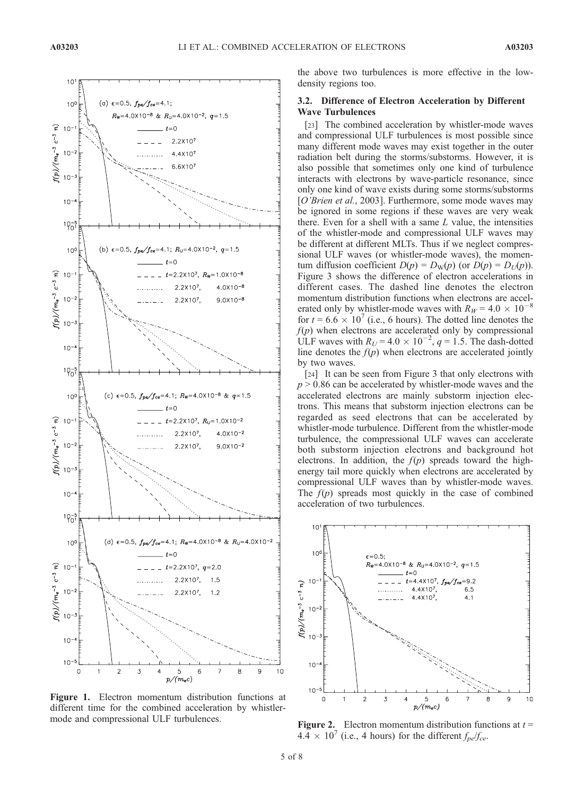

Figure 1. Electron momentum distribution functions at different time for the combined acceleration by whistlermode and compressional ULF turbulences.<br>Figure 2. Electron momentum distribution functions at  $t =$ 

the above two turbulences is more effective in the lowdensity regions too.

## 3.2. Difference of Electron Acceleration by Different Wave Turbulences

[23] The combined acceleration by whistler-mode waves and compressional ULF turbulences is most possible since many different mode waves may exist together in the outer radiation belt during the storms/substorms. However, it is also possible that sometimes only one kind of turbulence interacts with electrons by wave-particle resonance, since only one kind of wave exists during some storms/substorms [O'Brien et al., 2003]. Furthermore, some mode waves may be ignored in some regions if these waves are very weak there. Even for a shell with a same  $L$  value, the intensities of the whistler-mode and compressional ULF waves may be different at different MLTs. Thus if we neglect compressional ULF waves (or whistler-mode waves), the momentum diffusion coefficient  $D(p) = D_W(p)$  (or  $D(p) = D_U(p)$ ). Figure 3 shows the difference of electron accelerations in different cases. The dashed line denotes the electron momentum distribution functions when electrons are accelerated only by whistler-mode waves with  $R_W = 4.0 \times 10^{-8}$ for  $t = 6.6 \times 10^{7}$  (i.e., 6 hours). The dotted line denotes the  $f(p)$  when electrons are accelerated only by compressional ULF waves with  $R_U = 4.0 \times 10^{-2}$ ,  $q = 1.5$ . The dash-dotted line denotes the  $f(p)$  when electrons are accelerated jointly by two waves.

[24] It can be seen from Figure 3 that only electrons with  $p > 0.86$  can be accelerated by whistler-mode waves and the accelerated electrons are mainly substorm injection electrons. This means that substorm injection electrons can be regarded as seed electrons that can be accelerated by whistler-mode turbulence. Different from the whistler-mode turbulence, the compressional ULF waves can accelerate both substorm injection electrons and background hot electrons. In addition, the  $f(p)$  spreads toward the highenergy tail more quickly when electrons are accelerated by compressional ULF waves than by whistler-mode waves. The  $f(p)$  spreads most quickly in the case of combined acceleration of two turbulences.



 $4.4 \times 10^7$  (i.e., 4 hours) for the different  $f_{pe}/f_{ce}$ .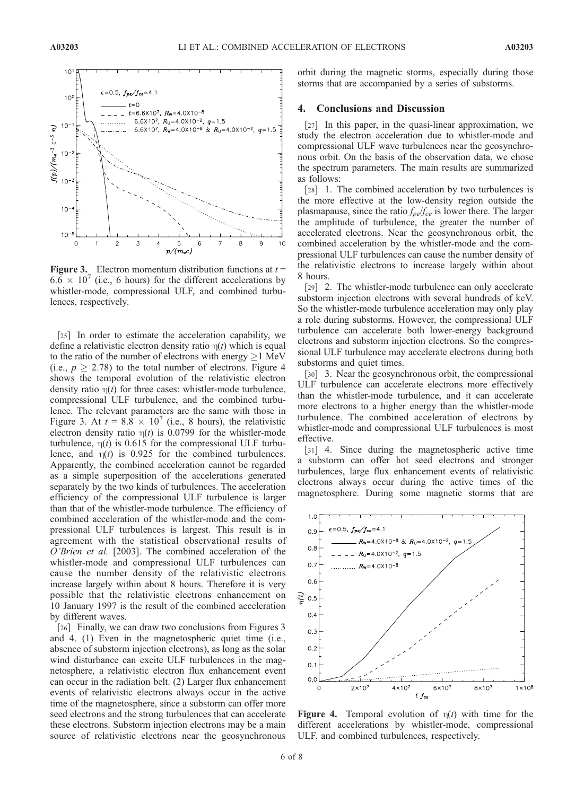

**Figure 3.** Electron momentum distribution functions at  $t =$  $6.6 \times 10^{7}$  (i.e., 6 hours) for the different accelerations by whistler-mode, compressional ULF, and combined turbulences, respectively.

[25] In order to estimate the acceleration capability, we define a relativistic electron density ratio  $\eta(t)$  which is equal to the ratio of the number of electrons with energy  $\geq$  1 MeV (i.e.,  $p \ge 2.78$ ) to the total number of electrons. Figure 4 shows the temporal evolution of the relativistic electron density ratio  $\eta(t)$  for three cases: whistler-mode turbulence, compressional ULF turbulence, and the combined turbulence. The relevant parameters are the same with those in Figure 3. At  $t = 8.8 \times 10^7$  (i.e., 8 hours), the relativistic electron density ratio  $\eta(t)$  is 0.0799 for the whistler-mode turbulence,  $\eta(t)$  is 0.615 for the compressional ULF turbulence, and  $\eta(t)$  is 0.925 for the combined turbulences. Apparently, the combined acceleration cannot be regarded as a simple superposition of the accelerations generated separately by the two kinds of turbulences. The acceleration efficiency of the compressional ULF turbulence is larger than that of the whistler-mode turbulence. The efficiency of combined acceleration of the whistler-mode and the compressional ULF turbulences is largest. This result is in agreement with the statistical observational results of O'Brien et al. [2003]. The combined acceleration of the whistler-mode and compressional ULF turbulences can cause the number density of the relativistic electrons increase largely within about 8 hours. Therefore it is very possible that the relativistic electrons enhancement on 10 January 1997 is the result of the combined acceleration by different waves.

[26] Finally, we can draw two conclusions from Figures 3 and 4. (1) Even in the magnetospheric quiet time (i.e., absence of substorm injection electrons), as long as the solar wind disturbance can excite ULF turbulences in the magnetosphere, a relativistic electron flux enhancement event can occur in the radiation belt. (2) Larger flux enhancement events of relativistic electrons always occur in the active time of the magnetosphere, since a substorm can offer more seed electrons and the strong turbulences that can accelerate these electrons. Substorm injection electrons may be a main source of relativistic electrons near the geosynchronous

orbit during the magnetic storms, especially during those storms that are accompanied by a series of substorms.

## 4. Conclusions and Discussion

[27] In this paper, in the quasi-linear approximation, we study the electron acceleration due to whistler-mode and compressional ULF wave turbulences near the geosynchronous orbit. On the basis of the observation data, we chose the spectrum parameters. The main results are summarized as follows:

[28] 1. The combined acceleration by two turbulences is the more effective at the low-density region outside the plasmapause, since the ratio  $f_{pe}/f_{ce}$  is lower there. The larger the amplitude of turbulence, the greater the number of accelerated electrons. Near the geosynchronous orbit, the combined acceleration by the whistler-mode and the compressional ULF turbulences can cause the number density of the relativistic electrons to increase largely within about 8 hours.

[29] 2. The whistler-mode turbulence can only accelerate substorm injection electrons with several hundreds of keV. So the whistler-mode turbulence acceleration may only play a role during substorms. However, the compressional ULF turbulence can accelerate both lower-energy background electrons and substorm injection electrons. So the compressional ULF turbulence may accelerate electrons during both substorms and quiet times.

[30] 3. Near the geosynchronous orbit, the compressional ULF turbulence can accelerate electrons more effectively than the whistler-mode turbulence, and it can accelerate more electrons to a higher energy than the whistler-mode turbulence. The combined acceleration of electrons by whistler-mode and compressional ULF turbulences is most effective.

[31] 4. Since during the magnetospheric active time a substorm can offer hot seed electrons and stronger turbulences, large flux enhancement events of relativistic electrons always occur during the active times of the magnetosphere. During some magnetic storms that are



**Figure 4.** Temporal evolution of  $\eta(t)$  with time for the different accelerations by whistler-mode, compressional ULF, and combined turbulences, respectively.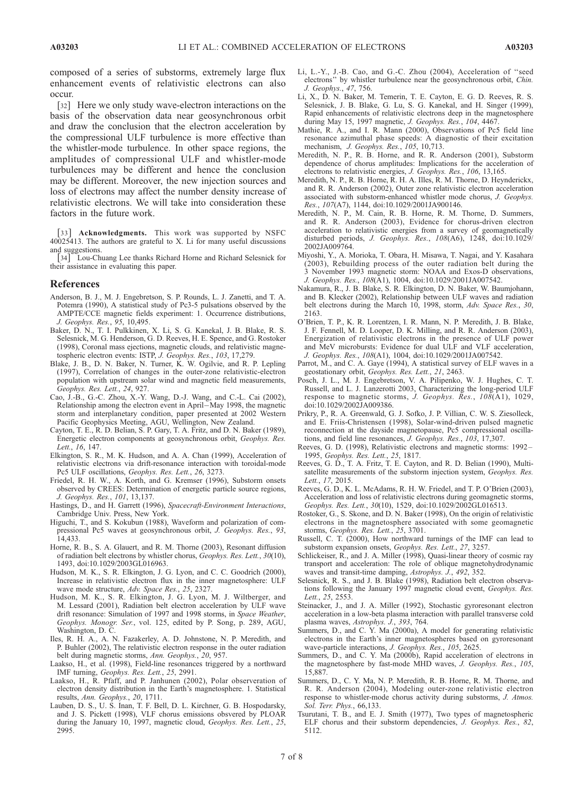composed of a series of substorms, extremely large flux enhancement events of relativistic electrons can also occur.

[32] Here we only study wave-electron interactions on the basis of the observation data near geosynchronous orbit and draw the conclusion that the electron acceleration by the compressional ULF turbulence is more effective than the whistler-mode turbulence. In other space regions, the amplitudes of compressional ULF and whistler-mode turbulences may be different and hence the conclusion may be different. Moreover, the new injection sources and loss of electrons may affect the number density increase of relativistic electrons. We will take into consideration these factors in the future work.

[33] **Acknowledgments.** This work was supported by NSFC 40025413. The authors are grateful to X. Li for many useful discussions

and suggestions.<br>[34] Lou-Ch Lou-Chuang Lee thanks Richard Horne and Richard Selesnick for their assistance in evaluating this paper.

#### References

- Anderson, B. J., M. J. Engebretson, S. P. Rounds, L. J. Zanetti, and T. A. Potemra (1990), A statistical study of Pc3-5 pulsations observed by the AMPTE/CCE magnetic fields experiment: 1. Occurrence distributions, J. Geophys. Res., 95, 10,495.
- Baker, D. N., T. I. Pulkkinen, X. Li, S. G. Kanekal, J. B. Blake, R. S. Selesnick, M. G. Henderson, G. D. Reeves, H. E. Spence, and G. Rostoker (1998), Coronal mass ejections, magnetic clouds, and relativistic magnetospheric electron events: ISTP, J. Geophys. Res., 103, 17,279.
- Blake, J. B., D. N. Baker, N. Turner, K. W. Ogilvie, and R. P. Lepling (1997), Correlation of changes in the outer-zone relativistic-electron population with upstream solar wind and magnetic field measurements, Geophys. Res. Lett., 24, 927.
- Cao, J.-B., G.-C. Zhou, X.-Y. Wang, D.-J. Wang, and C.-L. Cai (2002), Relationship among the electron event in April–May 1998, the magnetic storm and interplanetary condition, paper presented at 2002 Western Pacific Geophysics Meeting, AGU, Wellington, New Zealand.
- Cayton, T. E., R. D. Belian, S. P. Gary, T. A. Fritz, and D. N. Baker (1989), Energetic electron components at geosynchronous orbit, Geophys. Res. Lett., 16, 147.
- Elkington, S. R., M. K. Hudson, and A. A. Chan (1999), Acceleration of relativistic electrons via drift-resonance interaction with toroidal-mode Pc5 ULF oscillations, Geophys. Res. Lett., 26, 3273.
- Friedel, R. H. W., A. Korth, and G. Kremser (1996), Substorm onsets observed by CREES: Determination of energetic particle source regions, J. Geophys. Res., 101, 13,137.
- Hastings, D., and H. Garrett (1996), Spacecraft-Environment Interactions, Cambridge Univ. Press, New York.
- Higuchi, T., and S. Kokubun (1988), Waveform and polarization of compressional Pc5 waves at geosynchronous orbit, J. Geophys. Res., 93, 14,433.
- Horne, R. B., S. A. Glauert, and R. M. Thorne (2003), Resonant diffusion of radiation belt electrons by whistler chorus, Geophys. Res. Lett., 30(10), 1493, doi:10.1029/2003GL016963.
- Hudson, M. K., S. R. Elkington, J. G. Lyon, and C. C. Goodrich (2000), Increase in relativistic electron flux in the inner magnetosphere: ULF wave mode structure, Adv. Space Res., 25, 2327.
- Hudson, M. K., S. R. Elkington, J. G. Lyon, M. J. Wiltberger, and M. Lessard (2001), Radiation belt electron acceleration by ULF wave drift resonance: Simulation of 1997 and 1998 storms, in Space Weather, Geophys. Monogr. Ser., vol. 125, edited by P. Song, p. 289, AGU, Washington, D. C.
- Iles, R. H. A., A. N. Fazakerley, A. D. Johnstone, N. P. Meredith, and P. Buhler (2002), The relativistic electron response in the outer radiation belt during magnetic storms, Ann. Geophys., 20, 957.
- Laakso, H., et al. (1998), Field-line resonances triggered by a northward IMF turning, Geophys. Res. Lett., 25, 2991.
- Laakso, H., R. Pfaff, and P. Janhunen (2002), Polar observeration of electron density distribution in the Earth's magnetosphere. 1. Statistical results, Ann. Geophys., 20, 1711.
- Lauben, D. S., U. S. Inan, T. F. Bell, D. L. Kirchner, G. B. Hospodarsky, and J. S. Pickett (1998), VLF chorus emissions obsvered by PLOAR during the January 10, 1997, magnetic cloud, Geophys. Res. Lett., 25, 2995.
- Li, L.-Y., J.-B. Cao, and G.-C. Zhou (2004), Acceleration of ''seed electrons'' by whistler turbulence near the geosynchronous orbit, Chin. J. Geophys., 47, 756.
- Li, X., D. N. Baker, M. Temerin, T. E. Cayton, E. G. D. Reeves, R. S. Selesnick, J. B. Blake, G. Lu, S. G. Kanekal, and H. Singer (1999), Rapid enhancements of relativistic electrons deep in the magnetosphere during May 15, 1997 magnetic, J. Geophys. Res., 104, 4467.
- Mathie, R. A., and I. R. Mann (2000), Observations of Pc5 field line resonance azimuthal phase speeds: A diagnostic of their excitation mechanism, J. Geophys. Res., 105, 10,713.
- Meredith, N. P., R. B. Horne, and R. R. Anderson (2001), Substorm dependence of chorus amplitudes: Implications for the acceleration of electrons to relativistic energies, J. Geophys. Res., 106, 13,165.
- Meredith, N. P., R. B. Horne, R. H. A. Illes, R. M. Thorne, D. Heynderickx, and R. R. Anderson (2002), Outer zone relativistic electron acceleration associated with substorm-enhanced whistler mode chorus, J. Geophys. Res., 107(A7), 1144, doi:10.1029/2001JA900146.
- Meredith, N. P., M. Cain, R. B. Horne, R. M. Thorne, D. Summers, and R. R. Anderson (2003), Evidence for chorus-driven electron acceleration to relativistic energies from a survey of geomagnetically disturbed periods, J. Geophys. Res., 108(A6), 1248, doi:10.1029/ 2002JA009764.
- Miyoshi, Y., A. Morioka, T. Obara, H. Misawa, T. Nagai, and Y. Kasahara (2003), Rebuilding process of the outer radiation belt during the 3 November 1993 magnetic storm: NOAA and Exos-D observations, J. Geophys. Res., 108(A1), 1004, doi:10.1029/2001JA007542.
- Nakamura, R., J. B. Blake, S. R. Elkington, D. N. Baker, W. Baumjohann, and B. Klecker (2002), Relationship between ULF waves and radiation belt electrons during the March 10, 1998, storm, Adv. Space Res., 30, 2163.
- O'Brien, T. P., K. R. Lorentzen, I. R. Mann, N. P. Meredith, J. B. Blake, J. F. Fennell, M. D. Looper, D. K. Milling, and R. R. Anderson (2003), Energization of relativistic electrons in the presence of ULF power and MeV microbursts: Evidence for dual ULF and VLF acceleration, J. Geophys. Res., 108(A1), 1004, doi:10.1029/2001JA007542.
- Parrot, M., and C. A. Gaye (1994), A statistical survey of ELF waves in a geostationary orbit, Geophys. Res. Lett., 21, 2463.
- Posch, J. L., M. J. Engebretson, V. A. Pilipenko, W. J. Hughes, C. T. Russell, and L. J. Lanzerotti 2003, Characterizing the long-period ULF response to magnetic storms, J. Geophys. Res., 108(A1), 1029, doi:10.1029/2002JA009386.
- Prikry, P., R. A. Greenwald, G. J. Sofko, J. P. Villian, C. W. S. Ziesolleck, and E. Friis-Christensen (1998), Solar-wind-driven pulsed magnetic reconnection at the dayside magnetopause, Pc5 compressional oscillations, and field line resonances, J. Geophys. Res., 103, 17,307.
- Reeves, G. D. (1998), Relativistic electrons and magnetic storms: 1992 1995, Geophys. Res. Lett., 25, 1817.
- Reeves, G. D., T. A. Fritz, T. E. Cayton, and R. D. Belian (1990), Multisatellite measurements of the substorm injection system, Geophys. Res. Lett., 17, 2015.
- Reeves, G. D., K. L. McAdams, R. H. W. Friedel, and T. P. O'Brien (2003), Acceleration and loss of relativistic electrons during geomagnetic storms, Geophys. Res. Lett., 30(10), 1529, doi:10.1029/2002GL016513.
- Rostoker, G., S. Skone, and D. N. Baker (1998), On the origin of relativistic electrons in the magnetosphere associated with some geomagnetic storms, Geophys. Res. Lett., 25, 3701.
- Russell, C. T. (2000), How northward turnings of the IMF can lead to substorm expansion onsets, Geophys. Res. Lett., 27, 3257.
- Schlickeiser, R., and J. A. Miller (1998), Quasi-linear theory of cosmic ray transport and acceleration: The role of oblique magnetohydrodynamic waves and transit-time damping, Astrophys. J., 492, 352.
- Selesnick, R. S., and J. B. Blake (1998), Radiation belt electron observations following the January 1997 magnetic cloud event, Geophys. Res. Lett., 25, 2553.
- Steinacker, J., and J. A. Miller (1992), Stochastic gyroresonant electron acceleration in a low-beta plasma interaction with parallel transverse cold plasma waves, Astrophys. J., 393, 764.
- Summers, D., and C. Y. Ma (2000a), A model for generating relativistic electrons in the Earth's inner magnetospheres based on gyroresonant wave-particle interactions, J. Geophys. Res., 105, 2625.
- Summers, D., and C. Y. Ma (2000b), Rapid acceleration of electrons in the magnetosphere by fast-mode MHD waves, J. Geophys. Res., 105, 15,887.
- Summers, D., C. Y. Ma, N. P. Meredith, R. B. Horne, R. M. Thorne, and R. R. Anderson (2004), Modeling outer-zone relativistic electron response to whistler-mode chorus activity during substorms, J. Atmos. Sol. Terr. Phys., 66,133.
- Tsurutani, T. B., and E. J. Smith (1977), Two types of magnetospheric ELF chorus and their substorm dependencies, J. Geophys. Res., 82, 5112.